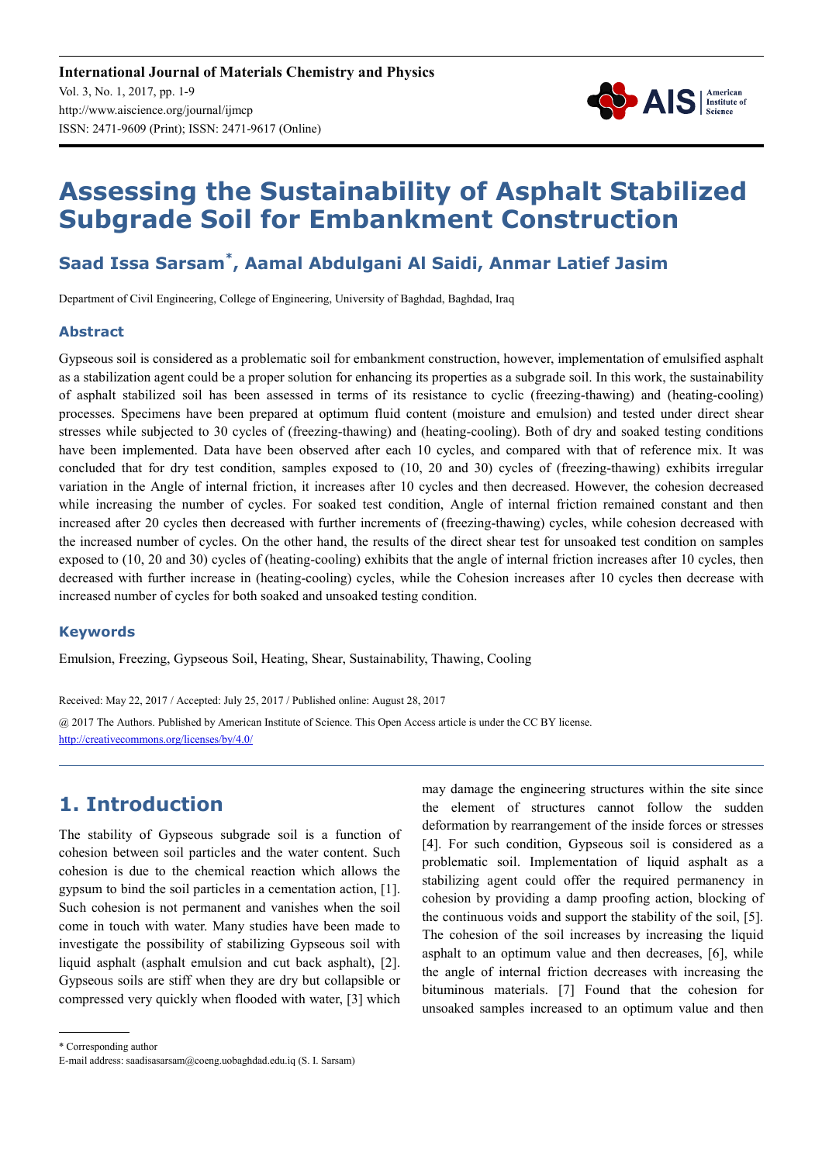

# **Assessing the Sustainability of Asphalt Stabilized Subgrade Soil for Embankment Construction**

# **Saad Issa Sarsam\* , Aamal Abdulgani Al Saidi, Anmar Latief Jasim**

Department of Civil Engineering, College of Engineering, University of Baghdad, Baghdad, Iraq

#### **Abstract**

Gypseous soil is considered as a problematic soil for embankment construction, however, implementation of emulsified asphalt as a stabilization agent could be a proper solution for enhancing its properties as a subgrade soil. In this work, the sustainability of asphalt stabilized soil has been assessed in terms of its resistance to cyclic (freezing-thawing) and (heating-cooling) processes. Specimens have been prepared at optimum fluid content (moisture and emulsion) and tested under direct shear stresses while subjected to 30 cycles of (freezing-thawing) and (heating-cooling). Both of dry and soaked testing conditions have been implemented. Data have been observed after each 10 cycles, and compared with that of reference mix. It was concluded that for dry test condition, samples exposed to (10, 20 and 30) cycles of (freezing-thawing) exhibits irregular variation in the Angle of internal friction, it increases after 10 cycles and then decreased. However, the cohesion decreased while increasing the number of cycles. For soaked test condition, Angle of internal friction remained constant and then increased after 20 cycles then decreased with further increments of (freezing-thawing) cycles, while cohesion decreased with the increased number of cycles. On the other hand, the results of the direct shear test for unsoaked test condition on samples exposed to (10, 20 and 30) cycles of (heating-cooling) exhibits that the angle of internal friction increases after 10 cycles, then decreased with further increase in (heating-cooling) cycles, while the Cohesion increases after 10 cycles then decrease with increased number of cycles for both soaked and unsoaked testing condition.

#### **Keywords**

Emulsion, Freezing, Gypseous Soil, Heating, Shear, Sustainability, Thawing, Cooling

Received: May 22, 2017 / Accepted: July 25, 2017 / Published online: August 28, 2017

@ 2017 The Authors. Published by American Institute of Science. This Open Access article is under the CC BY license. http://creativecommons.org/licenses/by/4.0/

# **1. Introduction**

The stability of Gypseous subgrade soil is a function of cohesion between soil particles and the water content. Such cohesion is due to the chemical reaction which allows the gypsum to bind the soil particles in a cementation action, [1]. Such cohesion is not permanent and vanishes when the soil come in touch with water. Many studies have been made to investigate the possibility of stabilizing Gypseous soil with liquid asphalt (asphalt emulsion and cut back asphalt), [2]. Gypseous soils are stiff when they are dry but collapsible or compressed very quickly when flooded with water, [3] which may damage the engineering structures within the site since the element of structures cannot follow the sudden deformation by rearrangement of the inside forces or stresses [4]. For such condition, Gypseous soil is considered as a problematic soil. Implementation of liquid asphalt as a stabilizing agent could offer the required permanency in cohesion by providing a damp proofing action, blocking of the continuous voids and support the stability of the soil, [5]. The cohesion of the soil increases by increasing the liquid asphalt to an optimum value and then decreases, [6], while the angle of internal friction decreases with increasing the bituminous materials. [7] Found that the cohesion for unsoaked samples increased to an optimum value and then

\* Corresponding author

E-mail address: saadisasarsam@coeng.uobaghdad.edu.iq (S. I. Sarsam)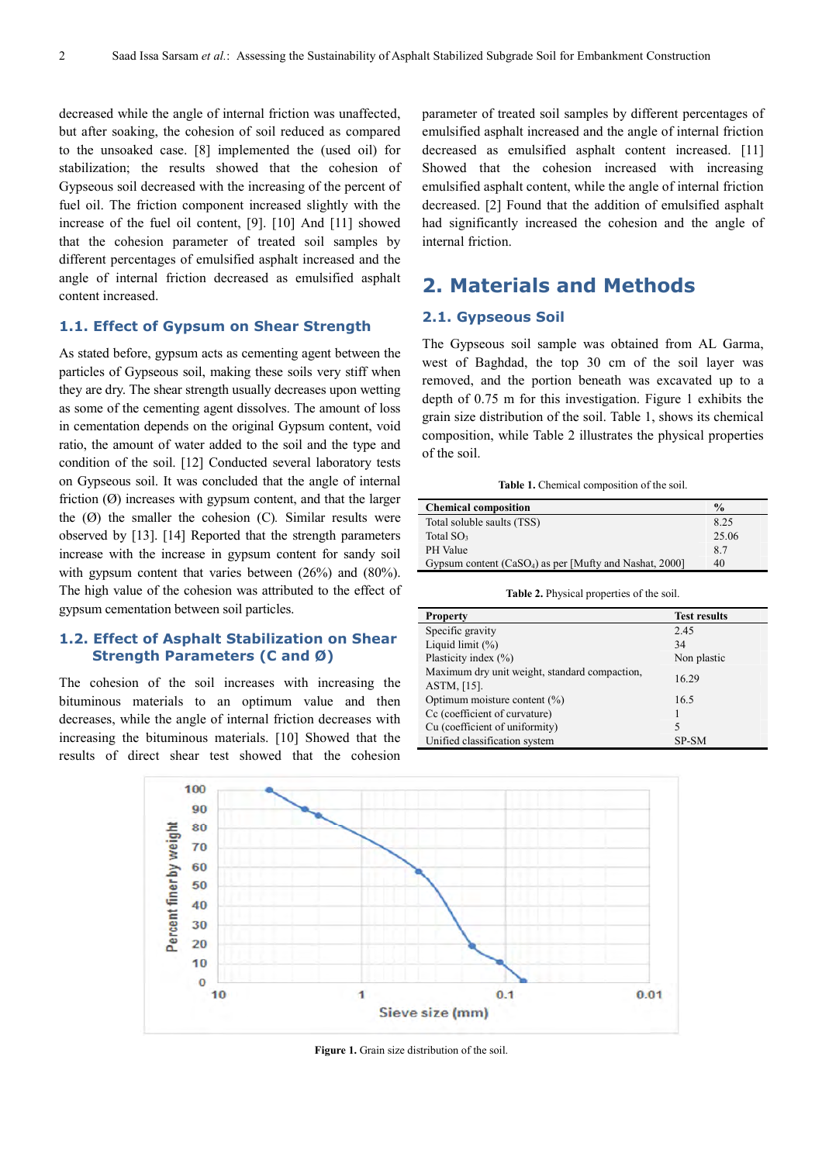decreased while the angle of internal friction was unaffected, but after soaking, the cohesion of soil reduced as compared to the unsoaked case. [8] implemented the (used oil) for stabilization; the results showed that the cohesion of Gypseous soil decreased with the increasing of the percent of fuel oil. The friction component increased slightly with the increase of the fuel oil content, [9]. [10] And [11] showed that the cohesion parameter of treated soil samples by different percentages of emulsified asphalt increased and the angle of internal friction decreased as emulsified asphalt content increased.

#### **1.1. Effect of Gypsum on Shear Strength**

As stated before, gypsum acts as cementing agent between the particles of Gypseous soil, making these soils very stiff when they are dry. The shear strength usually decreases upon wetting as some of the cementing agent dissolves. The amount of loss in cementation depends on the original Gypsum content, void ratio, the amount of water added to the soil and the type and condition of the soil. [12] Conducted several laboratory tests on Gypseous soil. It was concluded that the angle of internal friction  $(\emptyset)$  increases with gypsum content, and that the larger the (Ø) the smaller the cohesion (C)*.* Similar results were observed by [13]. [14] Reported that the strength parameters increase with the increase in gypsum content for sandy soil with gypsum content that varies between (26%) and (80%). The high value of the cohesion was attributed to the effect of gypsum cementation between soil particles.

#### **1.2. Effect of Asphalt Stabilization on Shear Strength Parameters (C and Ø)**

The cohesion of the soil increases with increasing the bituminous materials to an optimum value and then decreases, while the angle of internal friction decreases with increasing the bituminous materials. [10] Showed that the results of direct shear test showed that the cohesion

parameter of treated soil samples by different percentages of emulsified asphalt increased and the angle of internal friction decreased as emulsified asphalt content increased. [11] Showed that the cohesion increased with increasing emulsified asphalt content, while the angle of internal friction decreased. [2] Found that the addition of emulsified asphalt had significantly increased the cohesion and the angle of internal friction.

# **2. Materials and Methods**

#### **2.1. Gypseous Soil**

The Gypseous soil sample was obtained from AL Garma, west of Baghdad, the top 30 cm of the soil layer was removed, and the portion beneath was excavated up to a depth of 0.75 m for this investigation. Figure 1 exhibits the grain size distribution of the soil. Table 1, shows its chemical composition, while Table 2 illustrates the physical properties of the soil.

| <b>Chemical composition</b>                                         | $\frac{0}{0}$ |
|---------------------------------------------------------------------|---------------|
| Total soluble saults (TSS)                                          | 8.25          |
| Total $SO3$                                                         | 25.06         |
| PH Value                                                            | 8.7           |
| Gypsum content (CaSO <sub>4</sub> ) as per [Mufty and Nashat, 2000] | 40            |

**Table 2.** Physical properties of the soil.

| <b>Property</b>                                                 | <b>Test results</b> |
|-----------------------------------------------------------------|---------------------|
| Specific gravity                                                | 2.45                |
| Liquid limit $(\%)$                                             | 34                  |
| Plasticity index (%)                                            | Non plastic         |
| Maximum dry unit weight, standard compaction,<br>$ASTM, [15]$ . | 16.29               |
| Optimum moisture content (%)                                    | 16.5                |
| Cc (coefficient of curvature)                                   |                     |
| Cu (coefficient of uniformity)                                  | 5                   |
| Unified classification system                                   | SP-SM               |



Figure 1. Grain size distribution of the soil.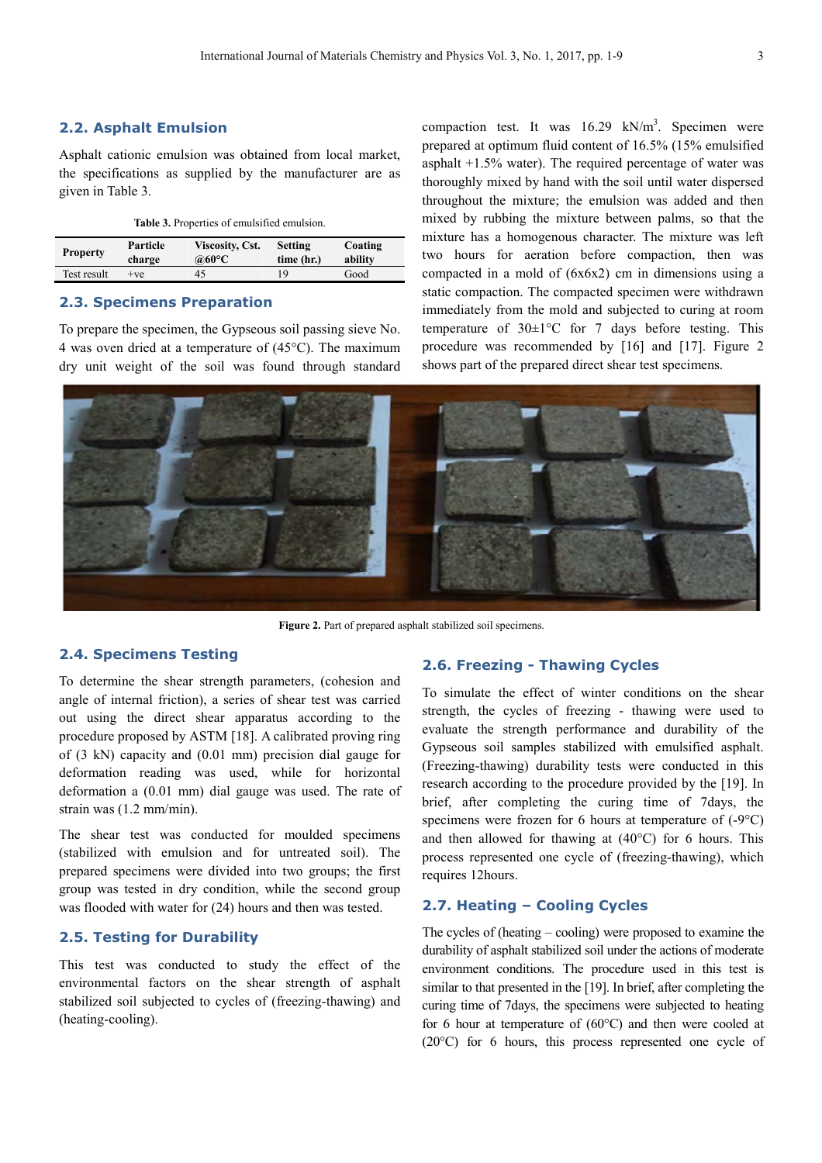#### **2.2. Asphalt Emulsion**

Asphalt cationic emulsion was obtained from local market, the specifications as supplied by the manufacturer are as given in Table 3.

|  |  | Table 3. Properties of emulsified emulsion. |  |
|--|--|---------------------------------------------|--|
|--|--|---------------------------------------------|--|

| <b>Property</b> | Particle | <b>Viscosity, Cst.</b> | <b>Setting</b> | Coating |
|-----------------|----------|------------------------|----------------|---------|
|                 | charge   | @60°C                  | time (hr.)     | ability |
| Test result     | $+ve$    | 45                     | Q              | Good    |

#### **2.3. Specimens Preparation**

To prepare the specimen, the Gypseous soil passing sieve No. 4 was oven dried at a temperature of (45°C). The maximum dry unit weight of the soil was found through standard

compaction test. It was  $16.29 \text{ kN/m}^3$ . Specimen were prepared at optimum fluid content of 16.5% (15% emulsified asphalt +1.5% water). The required percentage of water was thoroughly mixed by hand with the soil until water dispersed throughout the mixture; the emulsion was added and then mixed by rubbing the mixture between palms, so that the mixture has a homogenous character. The mixture was left two hours for aeration before compaction, then was compacted in a mold of (6x6x2) cm in dimensions using a static compaction. The compacted specimen were withdrawn immediately from the mold and subjected to curing at room temperature of  $30\pm1\degree$ C for 7 days before testing. This procedure was recommended by [16] and [17]. Figure 2 shows part of the prepared direct shear test specimens.



Figure 2. Part of prepared asphalt stabilized soil specimens.

#### **2.4. Specimens Testing**

To determine the shear strength parameters, (cohesion and angle of internal friction), a series of shear test was carried out using the direct shear apparatus according to the procedure proposed by ASTM [18]. A calibrated proving ring of (3 kN) capacity and (0.01 mm) precision dial gauge for deformation reading was used, while for horizontal deformation a (0.01 mm) dial gauge was used. The rate of strain was (1.2 mm/min).

The shear test was conducted for moulded specimens (stabilized with emulsion and for untreated soil). The prepared specimens were divided into two groups; the first group was tested in dry condition, while the second group was flooded with water for (24) hours and then was tested.

#### **2.5. Testing for Durability**

This test was conducted to study the effect of the environmental factors on the shear strength of asphalt stabilized soil subjected to cycles of (freezing-thawing) and (heating-cooling).

#### **2.6. Freezing - Thawing Cycles**

To simulate the effect of winter conditions on the shear strength, the cycles of freezing - thawing were used to evaluate the strength performance and durability of the Gypseous soil samples stabilized with emulsified asphalt. (Freezing-thawing) durability tests were conducted in this research according to the procedure provided by the [19]. In brief, after completing the curing time of 7days, the specimens were frozen for 6 hours at temperature of (-9°C) and then allowed for thawing at  $(40^{\circ}C)$  for 6 hours. This process represented one cycle of (freezing-thawing), which requires 12hours.

#### **2.7. Heating – Cooling Cycles**

The cycles of (heating – cooling) were proposed to examine the durability of asphalt stabilized soil under the actions of moderate environment conditions. The procedure used in this test is similar to that presented in the [19]. In brief, after completing the curing time of 7days, the specimens were subjected to heating for 6 hour at temperature of (60°C) and then were cooled at (20°C) for 6 hours, this process represented one cycle of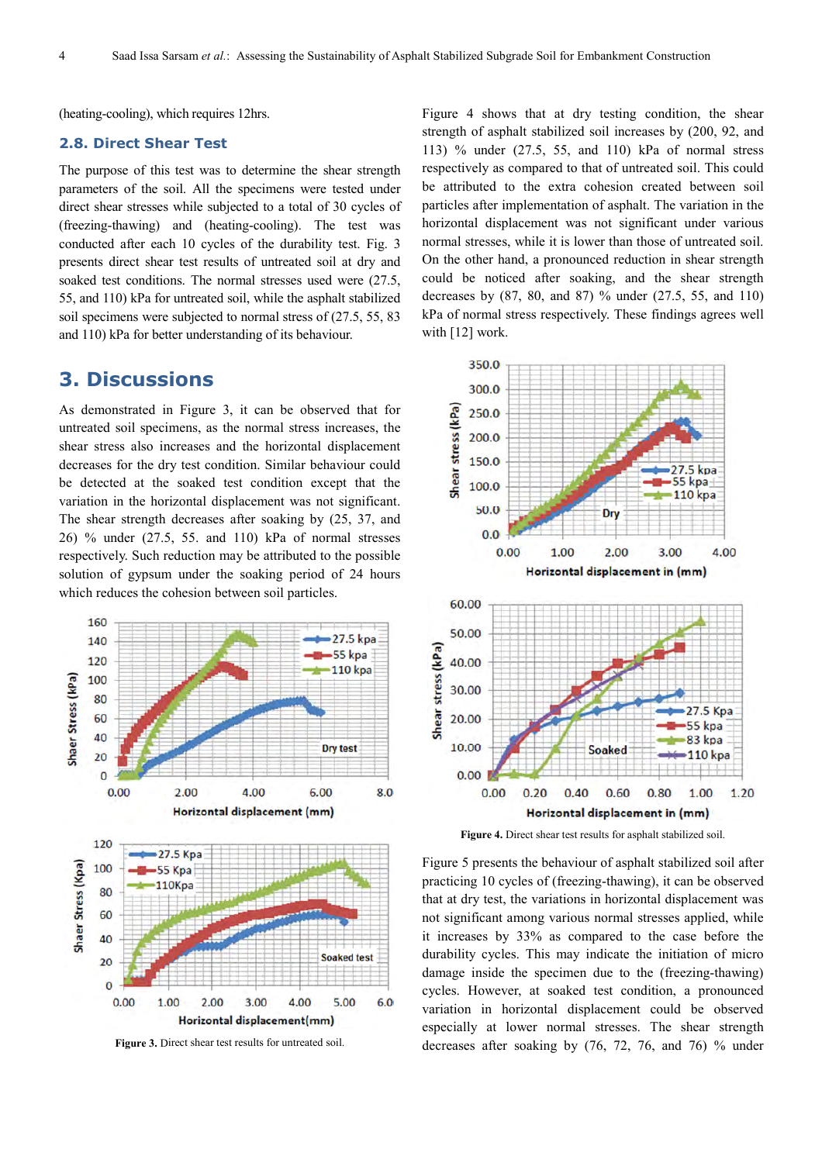(heating-cooling), which requires 12hrs.

#### **2.8. Direct Shear Test**

The purpose of this test was to determine the shear strength parameters of the soil. All the specimens were tested under direct shear stresses while subjected to a total of 30 cycles of (freezing-thawing) and (heating-cooling). The test was conducted after each 10 cycles of the durability test. Fig. 3 presents direct shear test results of untreated soil at dry and soaked test conditions. The normal stresses used were (27.5, 55, and 110) kPa for untreated soil, while the asphalt stabilized soil specimens were subjected to normal stress of (27.5, 55, 83 and 110) kPa for better understanding of its behaviour.

### **3. Discussions**

As demonstrated in Figure 3, it can be observed that for untreated soil specimens, as the normal stress increases, the shear stress also increases and the horizontal displacement decreases for the dry test condition. Similar behaviour could be detected at the soaked test condition except that the variation in the horizontal displacement was not significant. The shear strength decreases after soaking by (25, 37, and 26) % under (27.5, 55. and 110) kPa of normal stresses respectively. Such reduction may be attributed to the possible solution of gypsum under the soaking period of 24 hours which reduces the cohesion between soil particles.



**Figure 3.** Direct shear test results for untreated soil.

Figure 4 shows that at dry testing condition, the shear strength of asphalt stabilized soil increases by (200, 92, and 113) % under (27.5, 55, and 110) kPa of normal stress respectively as compared to that of untreated soil. This could be attributed to the extra cohesion created between soil particles after implementation of asphalt. The variation in the horizontal displacement was not significant under various normal stresses, while it is lower than those of untreated soil. On the other hand, a pronounced reduction in shear strength could be noticed after soaking, and the shear strength decreases by (87, 80, and 87) % under (27.5, 55, and 110) kPa of normal stress respectively. These findings agrees well with [12] work.



**Figure 4.** Direct shear test results for asphalt stabilized soil.

Figure 5 presents the behaviour of asphalt stabilized soil after practicing 10 cycles of (freezing-thawing), it can be observed that at dry test, the variations in horizontal displacement was not significant among various normal stresses applied, while it increases by 33% as compared to the case before the durability cycles. This may indicate the initiation of micro damage inside the specimen due to the (freezing-thawing) cycles. However, at soaked test condition, a pronounced variation in horizontal displacement could be observed especially at lower normal stresses. The shear strength decreases after soaking by (76, 72, 76, and 76) % under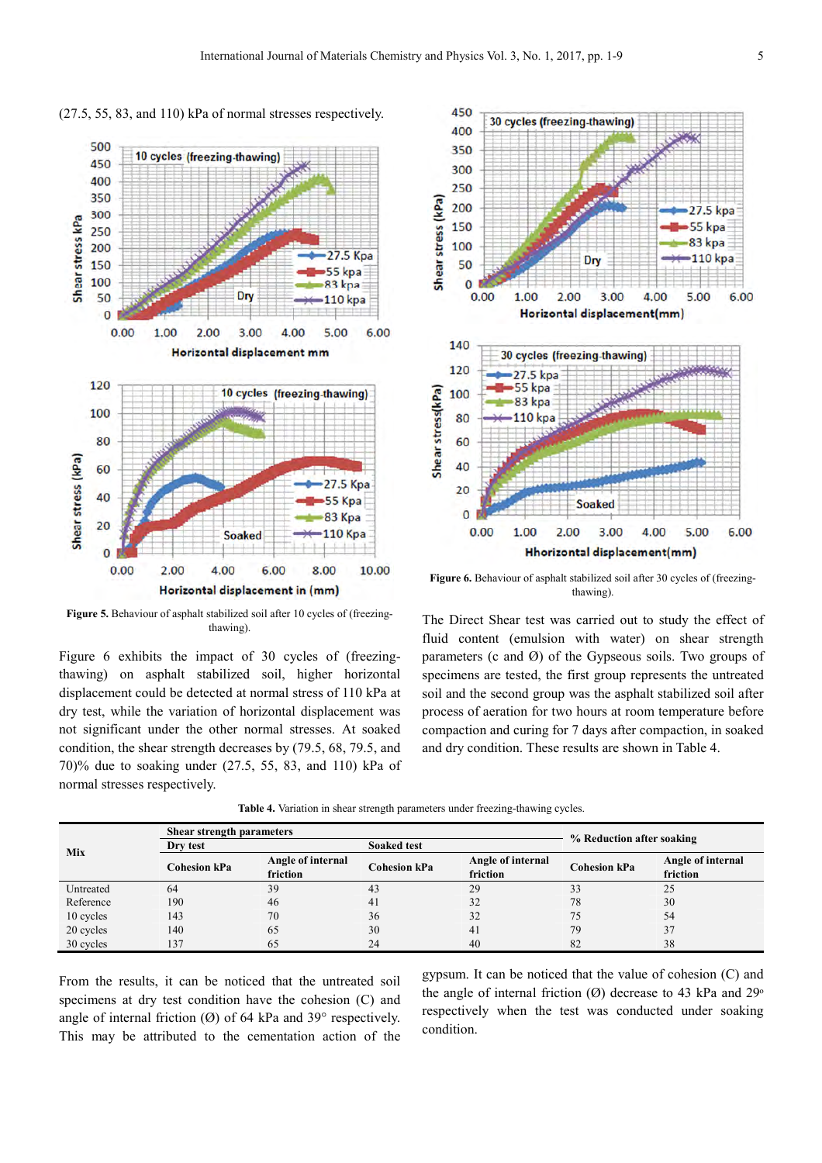

(27.5, 55, 83, and 110) kPa of normal stresses respectively.

Figure 5. Behaviour of asphalt stabilized soil after 10 cycles of (freezingthawing).

Figure 6 exhibits the impact of 30 cycles of (freezingthawing) on asphalt stabilized soil, higher horizontal displacement could be detected at normal stress of 110 kPa at dry test, while the variation of horizontal displacement was not significant under the other normal stresses. At soaked condition, the shear strength decreases by (79.5, 68, 79.5, and 70)% due to soaking under (27.5, 55, 83, and 110) kPa of normal stresses respectively.



Figure 6. Behaviour of asphalt stabilized soil after 30 cycles of (freezingthawing).

The Direct Shear test was carried out to study the effect of fluid content (emulsion with water) on shear strength parameters (c and Ø) of the Gypseous soils. Two groups of specimens are tested, the first group represents the untreated soil and the second group was the asphalt stabilized soil after process of aeration for two hours at room temperature before compaction and curing for 7 days after compaction, in soaked and dry condition. These results are shown in Table 4.

|  |  |  |  |  | <b>Table 4.</b> Variation in shear strength parameters under freezing-thawing cycles. |  |  |  |  |
|--|--|--|--|--|---------------------------------------------------------------------------------------|--|--|--|--|
|--|--|--|--|--|---------------------------------------------------------------------------------------|--|--|--|--|

|           | Shear strength parameters |                               |                     |                               |                           |                               |
|-----------|---------------------------|-------------------------------|---------------------|-------------------------------|---------------------------|-------------------------------|
| Mix       | Dry test                  |                               | <b>Soaked test</b>  |                               | % Reduction after soaking |                               |
|           | <b>Cohesion kPa</b>       | Angle of internal<br>friction | <b>Cohesion kPa</b> | Angle of internal<br>friction | <b>Cohesion kPa</b>       | Angle of internal<br>friction |
| Untreated | 64                        | 39                            | 43                  | 29                            | 33                        | 25                            |
| Reference | 190                       | 46                            | 41                  | 32                            | 78                        | 30                            |
| 10 cycles | 143                       | 70                            | 36                  | 32                            | 75                        | 54                            |
| 20 cycles | 140                       | 65                            | 30                  | 41                            | 79                        | 37                            |
| 30 cycles | 137                       | 65                            | 24                  | 40                            | 82                        | 38                            |

From the results, it can be noticed that the untreated soil specimens at dry test condition have the cohesion (C) and angle of internal friction  $(\emptyset)$  of 64 kPa and 39° respectively. This may be attributed to the cementation action of the

gypsum. It can be noticed that the value of cohesion (C) and the angle of internal friction  $(\emptyset)$  decrease to 43 kPa and 29<sup>o</sup> respectively when the test was conducted under soaking condition.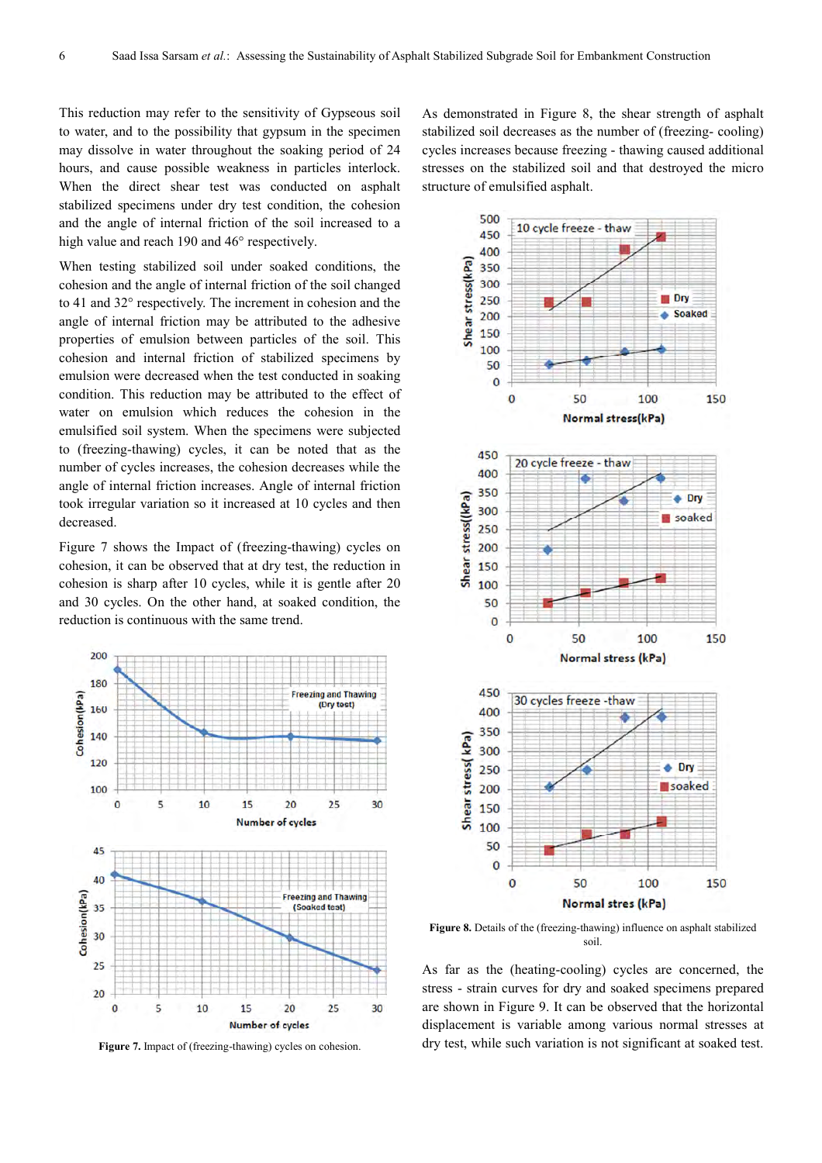This reduction may refer to the sensitivity of Gypseous soil to water, and to the possibility that gypsum in the specimen may dissolve in water throughout the soaking period of 24 hours, and cause possible weakness in particles interlock. When the direct shear test was conducted on asphalt stabilized specimens under dry test condition, the cohesion and the angle of internal friction of the soil increased to a high value and reach 190 and 46° respectively.

When testing stabilized soil under soaked conditions, the cohesion and the angle of internal friction of the soil changed to 41 and 32° respectively. The increment in cohesion and the angle of internal friction may be attributed to the adhesive properties of emulsion between particles of the soil. This cohesion and internal friction of stabilized specimens by emulsion were decreased when the test conducted in soaking condition. This reduction may be attributed to the effect of water on emulsion which reduces the cohesion in the emulsified soil system. When the specimens were subjected to (freezing-thawing) cycles, it can be noted that as the number of cycles increases, the cohesion decreases while the angle of internal friction increases. Angle of internal friction took irregular variation so it increased at 10 cycles and then decreased.

Figure 7 shows the Impact of (freezing-thawing) cycles on cohesion, it can be observed that at dry test, the reduction in cohesion is sharp after 10 cycles, while it is gentle after 20 and 30 cycles. On the other hand, at soaked condition, the reduction is continuous with the same trend.



**Figure 7.** Impact of (freezing-thawing) cycles on cohesion.

As demonstrated in Figure 8, the shear strength of asphalt stabilized soil decreases as the number of (freezing- cooling) cycles increases because freezing - thawing caused additional stresses on the stabilized soil and that destroyed the micro structure of emulsified asphalt.



Figure 8. Details of the (freezing-thawing) influence on asphalt stabilized soil.

As far as the (heating-cooling) cycles are concerned, the stress - strain curves for dry and soaked specimens prepared are shown in Figure 9. It can be observed that the horizontal displacement is variable among various normal stresses at dry test, while such variation is not significant at soaked test.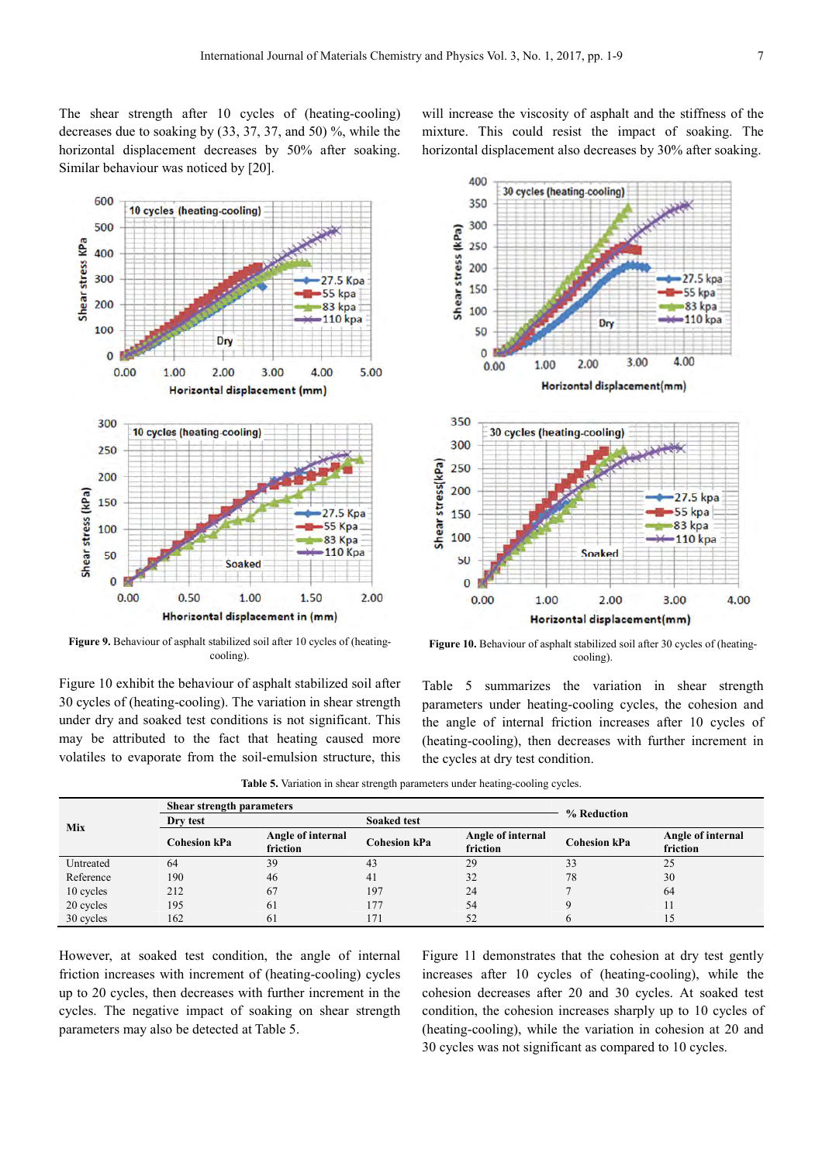400

350

300

250

The shear strength after 10 cycles of (heating-cooling) decreases due to soaking by (33, 37, 37, and 50) %, while the horizontal displacement decreases by 50% after soaking. Similar behaviour was noticed by [20].

will increase the viscosity of asphalt and the stiffness of the mixture. This could resist the impact of soaking. The horizontal displacement also decreases by 30% after soaking.

30 cycles (heating-cooling)



Figure 9. Behaviour of asphalt stabilized soil after 10 cycles of (heatingcooling).

Figure 10 exhibit the behaviour of asphalt stabilized soil after 30 cycles of (heating-cooling). The variation in shear strength under dry and soaked test conditions is not significant. This may be attributed to the fact that heating caused more volatiles to evaporate from the soil-emulsion structure, this

Shear stress (kPa) 200 27.5 kpa 150 55 kpa 83 kpa 100 **110** kpa Dry 50  $\bf{0}$ 3.00 4.00 2.00  $0.00$ 1.00 Horizontal displacement(mm) 350 30 cycles (heating-cooling) 300 Shear stress(kPa) 250 200 27.5 kpa 150 55 kpa 83 kpa 100 110 kpa **Soaked** 50  $\mathbf{0}$  $0.00$ 1.00 2.00 3.00 4.00 Horizontal displacement(mm)

Figure 10. Behaviour of asphalt stabilized soil after 30 cycles of (heatingcooling).

Table 5 summarizes the variation in shear strength parameters under heating-cooling cycles, the cohesion and the angle of internal friction increases after 10 cycles of (heating-cooling), then decreases with further increment in the cycles at dry test condition.

|           | <b>Shear strength parameters</b> |                               | % Reduction        |                                                      |    |                               |  |
|-----------|----------------------------------|-------------------------------|--------------------|------------------------------------------------------|----|-------------------------------|--|
| Mix       | Dry test                         |                               | <b>Soaked test</b> |                                                      |    |                               |  |
|           | <b>Cohesion kPa</b>              | Angle of internal<br>friction | Cohesion kPa       | Angle of internal<br><b>Cohesion kPa</b><br>friction |    | Angle of internal<br>friction |  |
| Untreated | 64                               | 39                            | 43                 | 29                                                   | 33 | 25                            |  |
| Reference | 190                              | 46                            | 41                 | 32                                                   | 78 | 30                            |  |
| 10 cycles | 212                              | 67                            | 197                | 24                                                   |    | 64                            |  |
| 20 cycles | 195                              | 61                            | 177                | 54                                                   |    | 11                            |  |
| 30 cycles | 162                              | 61                            | 171                | 52                                                   |    |                               |  |

**Table 5.** Variation in shear strength parameters under heating-cooling cycles.

However, at soaked test condition, the angle of internal friction increases with increment of (heating-cooling) cycles up to 20 cycles, then decreases with further increment in the cycles. The negative impact of soaking on shear strength parameters may also be detected at Table 5.

Figure 11 demonstrates that the cohesion at dry test gently increases after 10 cycles of (heating-cooling), while the cohesion decreases after 20 and 30 cycles. At soaked test condition, the cohesion increases sharply up to 10 cycles of (heating-cooling), while the variation in cohesion at 20 and 30 cycles was not significant as compared to 10 cycles.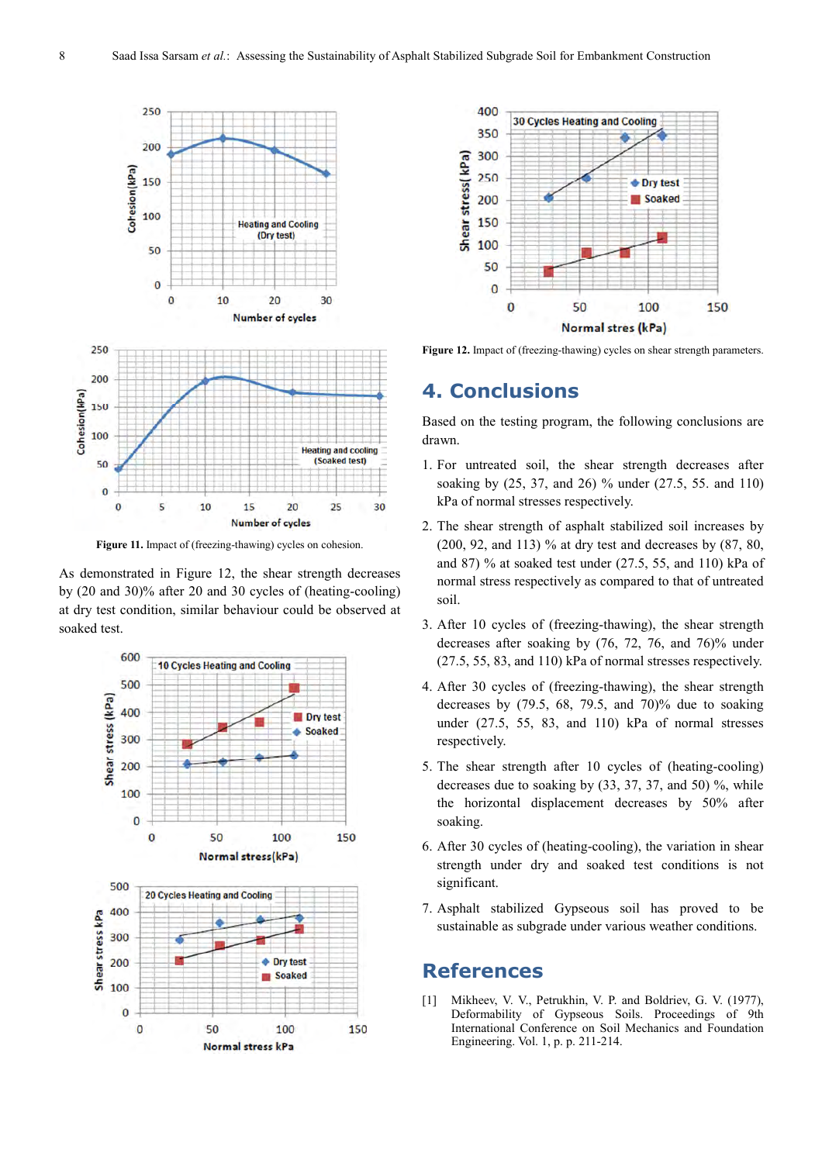

Figure 11. Impact of (freezing-thawing) cycles on cohesion.

As demonstrated in Figure 12, the shear strength decreases by (20 and 30)% after 20 and 30 cycles of (heating-cooling) at dry test condition, similar behaviour could be observed at soaked test.





Figure 12. Impact of (freezing-thawing) cycles on shear strength parameters.

# **4. Conclusions**

Based on the testing program, the following conclusions are drawn.

- 1. For untreated soil, the shear strength decreases after soaking by (25, 37, and 26) % under (27.5, 55. and 110) kPa of normal stresses respectively.
- 2. The shear strength of asphalt stabilized soil increases by (200, 92, and 113) % at dry test and decreases by (87, 80, and 87) % at soaked test under (27.5, 55, and 110) kPa of normal stress respectively as compared to that of untreated soil.
- 3. After 10 cycles of (freezing-thawing), the shear strength decreases after soaking by (76, 72, 76, and 76)% under (27.5, 55, 83, and 110) kPa of normal stresses respectively.
- 4. After 30 cycles of (freezing-thawing), the shear strength decreases by  $(79.5, 68, 79.5, and 70)\%$  due to soaking under (27.5, 55, 83, and 110) kPa of normal stresses respectively.
- 5. The shear strength after 10 cycles of (heating-cooling) decreases due to soaking by (33, 37, 37, and 50) %, while the horizontal displacement decreases by 50% after soaking.
- 6. After 30 cycles of (heating-cooling), the variation in shear strength under dry and soaked test conditions is not significant.
- 7. Asphalt stabilized Gypseous soil has proved to be sustainable as subgrade under various weather conditions.

### **References**

[1] Mikheev, V. V., Petrukhin, V. P. and Boldriev, G. V. (1977), Deformability of Gypseous Soils. Proceedings of 9th International Conference on Soil Mechanics and Foundation Engineering. Vol. 1, p. p. 211-214.